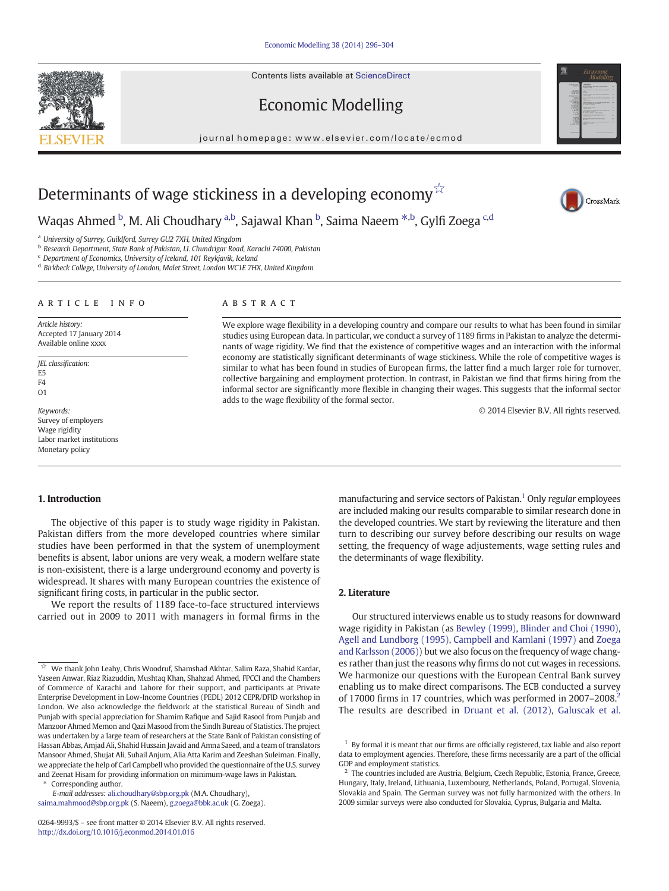Contents lists available at [ScienceDirect](http://www.sciencedirect.com/science/journal/02649993)





CrossMark

### Economic Modelling

journal homepage: www.elsevier.com/locate/ecmod

# Determinants of wage stickiness in a developing economy $\overrightarrow{x}$

Waqas Ahmed <sup>b</sup>, M. Ali Choudhary <sup>a,b</sup>, Sajawal Khan <sup>b</sup>, Saima Naeem <sup>\*,b</sup>, Gylfi Zoega <sup>c,d</sup>

<sup>a</sup> University of Surrey, Guildford, Surrey GU2 7XH, United Kingdom

<sup>b</sup> Research Department, State Bank of Pakistan, I.I. Chundrigar Road, Karachi 74000, Pakistan

<sup>c</sup> Department of Economics, University of Iceland, 101 Reykjavik, Iceland

<sup>d</sup> Birkbeck College, University of London, Malet Street, London WC1E 7HX, United Kingdom

#### article info abstract

Article history: Accepted 17 January 2014 Available online xxxx

JEL classification: E5 F4 O1

Keywords: Survey of employers Wage rigidity Labor market institutions Monetary policy

We explore wage flexibility in a developing country and compare our results to what has been found in similar studies using European data. In particular, we conduct a survey of 1189 firms in Pakistan to analyze the determinants of wage rigidity. We find that the existence of competitive wages and an interaction with the informal economy are statistically significant determinants of wage stickiness. While the role of competitive wages is similar to what has been found in studies of European firms, the latter find a much larger role for turnover, collective bargaining and employment protection. In contrast, in Pakistan we find that firms hiring from the informal sector are significantly more flexible in changing their wages. This suggests that the informal sector adds to the wage flexibility of the formal sector.

© 2014 Elsevier B.V. All rights reserved.

#### 1. Introduction

The objective of this paper is to study wage rigidity in Pakistan. Pakistan differs from the more developed countries where similar studies have been performed in that the system of unemployment benefits is absent, labor unions are very weak, a modern welfare state is non-exisistent, there is a large underground economy and poverty is widespread. It shares with many European countries the existence of significant firing costs, in particular in the public sector.

We report the results of 1189 face-to-face structured interviews carried out in 2009 to 2011 with managers in formal firms in the

E-mail addresses: [ali.choudhary@sbp.org.pk](mailto:ali.choudhary@sbp.org.pk) (M.A. Choudhary), [saima.mahmood@sbp.org.pk](mailto:saima.mahmood@sbp.org.pk) (S. Naeem), [g.zoega@bbk.ac.uk](mailto:g.zoega@bbk.ac.uk) (G. Zoega).

0264-9993/\$ – see front matter © 2014 Elsevier B.V. All rights reserved. <http://dx.doi.org/10.1016/j.econmod.2014.01.016>

manufacturing and service sectors of Pakistan.<sup>1</sup> Only *regular* employees are included making our results comparable to similar research done in the developed countries. We start by reviewing the literature and then turn to describing our survey before describing our results on wage setting, the frequency of wage adjustements, wage setting rules and the determinants of wage flexibility.

### 2. Literature

Our structured interviews enable us to study reasons for downward wage rigidity in Pakistan (as [Bewley \(1999\),](#page--1-0) [Blinder and Choi \(1990\),](#page--1-0) [Agell and Lundborg \(1995\),](#page--1-0) [Campbell and Kamlani \(1997\)](#page--1-0) and [Zoega](#page--1-0) [and Karlsson \(2006\)\)](#page--1-0) but we also focus on the frequency of wage changes rather than just the reasons why firms do not cut wages in recessions. We harmonize our questions with the European Central Bank survey enabling us to make direct comparisons. The ECB conducted a survey of 17000 firms in 17 countries, which was performed in  $2007-2008$ <sup>2</sup> The results are described in [Druant et al. \(2012\)](#page--1-0), [Galuscak et al.](#page--1-0)

 $\overrightarrow{x}$  We thank John Leahy, Chris Woodruf, Shamshad Akhtar, Salim Raza, Shahid Kardar, Yaseen Anwar, Riaz Riazuddin, Mushtaq Khan, Shahzad Ahmed, FPCCI and the Chambers of Commerce of Karachi and Lahore for their support, and participants at Private Enterprise Development in Low-Income Countries (PEDL) 2012 CEPR/DFID workshop in London. We also acknowledge the fieldwork at the statistical Bureau of Sindh and Punjab with special appreciation for Shamim Rafique and Sajid Rasool from Punjab and Manzoor Ahmed Memon and Qazi Masood from the Sindh Bureau of Statistics. The project was undertaken by a large team of researchers at the State Bank of Pakistan consisting of Hassan Abbas, Amjad Ali, Shahid Hussain Javaid and Amna Saeed, and a team of translators Mansoor Ahmed, Shujat Ali, Suhail Anjum, Alia Atta Karim and Zeeshan Suleiman. Finally, we appreciate the help of Carl Campbell who provided the questionnaire of the U.S. survey and Zeenat Hisam for providing information on minimum-wage laws in Pakistan. Corresponding author.

 $1$  By formal it is meant that our firms are officially registered, tax liable and also report data to employment agencies. Therefore, these firms necessarily are a part of the official GDP and employment statistics.

 $2$  The countries included are Austria, Belgium, Czech Republic, Estonia, France, Greece, Hungary, Italy, Ireland, Lithuania, Luxembourg, Netherlands, Poland, Portugal, Slovenia, Slovakia and Spain. The German survey was not fully harmonized with the others. In 2009 similar surveys were also conducted for Slovakia, Cyprus, Bulgaria and Malta.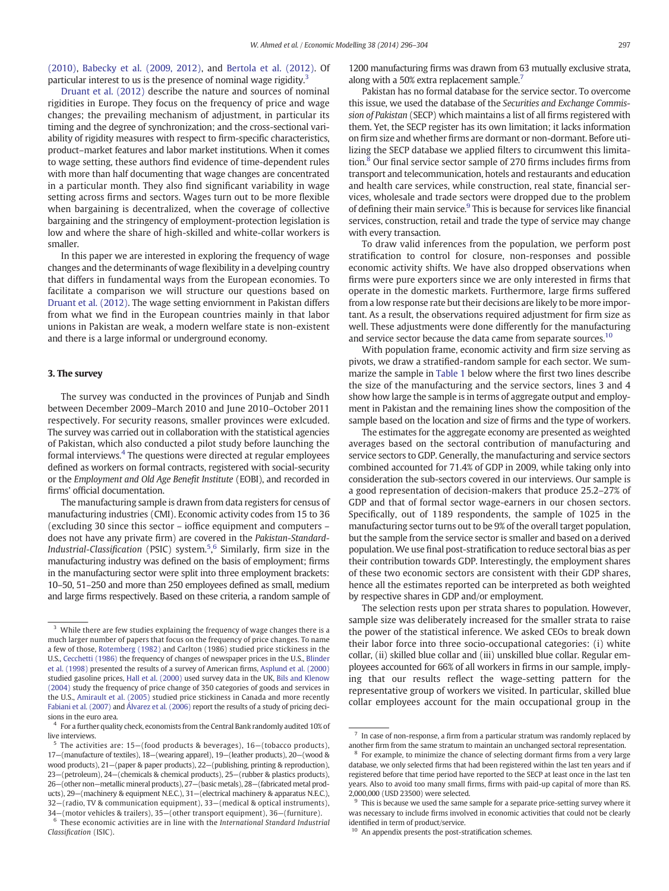[\(2010\)](#page--1-0), [Babecky et al. \(2009, 2012\)](#page--1-0), and [Bertola et al. \(2012\).](#page--1-0) Of particular interest to us is the presence of nominal wage rigidity.<sup>3</sup>

[Druant et al. \(2012\)](#page--1-0) describe the nature and sources of nominal rigidities in Europe. They focus on the frequency of price and wage changes; the prevailing mechanism of adjustment, in particular its timing and the degree of synchronization; and the cross-sectional variability of rigidity measures with respect to firm-specific characteristics, product–market features and labor market institutions. When it comes to wage setting, these authors find evidence of time-dependent rules with more than half documenting that wage changes are concentrated in a particular month. They also find significant variability in wage setting across firms and sectors. Wages turn out to be more flexible when bargaining is decentralized, when the coverage of collective bargaining and the stringency of employment-protection legislation is low and where the share of high-skilled and white-collar workers is smaller.

In this paper we are interested in exploring the frequency of wage changes and the determinants of wage flexibility in a develping country that differs in fundamental ways from the European economies. To facilitate a comparison we will structure our questions based on [Druant et al. \(2012\).](#page--1-0) The wage setting enviornment in Pakistan differs from what we find in the European countries mainly in that labor unions in Pakistan are weak, a modern welfare state is non-existent and there is a large informal or underground economy.

#### 3. The survey

The survey was conducted in the provinces of Punjab and Sindh between December 2009–March 2010 and June 2010–October 2011 respectively. For security reasons, smaller provinces were exlcuded. The survey was carried out in collaboration with the statistical agencies of Pakistan, which also conducted a pilot study before launching the formal interviews.<sup>4</sup> The questions were directed at regular employees defined as workers on formal contracts, registered with social-security or the Employment and Old Age Benefit Institute (EOBI), and recorded in firms' official documentation.

The manufacturing sample is drawn from data registers for census of manufacturing industries (CMI). Economic activity codes from 15 to 36 (excluding 30 since this sector – ioffice equipment and computers – does not have any private firm) are covered in the Pakistan-Standard-Industrial-Classification (PSIC) system.<sup>5,6</sup> Similarly, firm size in the manufacturing industry was defined on the basis of employment; firms in the manufacturing sector were split into three employment brackets: 10–50, 51–250 and more than 250 employees defined as small, medium and large firms respectively. Based on these criteria, a random sample of

1200 manufacturing firms was drawn from 63 mutually exclusive strata, along with a 50% extra replacement sample.<sup>7</sup>

Pakistan has no formal database for the service sector. To overcome this issue, we used the database of the Securities and Exchange Commission of Pakistan (SECP) which maintains a list of all firms registered with them. Yet, the SECP register has its own limitation; it lacks information on firm size and whether firms are dormant or non-dormant. Before utilizing the SECP database we applied filters to circumwent this limitation.8 Our final service sector sample of 270 firms includes firms from transport and telecommunication, hotels and restaurants and education and health care services, while construction, real state, financial services, wholesale and trade sectors were dropped due to the problem of defining their main service.<sup>9</sup> This is because for services like financial services, construction, retail and trade the type of service may change with every transaction.

To draw valid inferences from the population, we perform post stratification to control for closure, non-responses and possible economic activity shifts. We have also dropped observations when firms were pure exporters since we are only interested in firms that operate in the domestic markets. Furthermore, large firms suffered from a low response rate but their decisions are likely to be more important. As a result, the observations required adjustment for firm size as well. These adjustments were done differently for the manufacturing and service sector because the data came from separate sources.<sup>10</sup>

With population frame, economic activity and firm size serving as pivots, we draw a stratified-random sample for each sector. We summarize the sample in [Table 1](#page--1-0) below where the first two lines describe the size of the manufacturing and the service sectors, lines 3 and 4 show how large the sample is in terms of aggregate output and employment in Pakistan and the remaining lines show the composition of the sample based on the location and size of firms and the type of workers.

The estimates for the aggregate economy are presented as weighted averages based on the sectoral contribution of manufacturing and service sectors to GDP. Generally, the manufacturing and service sectors combined accounted for 71.4% of GDP in 2009, while taking only into consideration the sub-sectors covered in our interviews. Our sample is a good representation of decision-makers that produce 25.2–27% of GDP and that of formal sector wage-earners in our chosen sectors. Specifically, out of 1189 respondents, the sample of 1025 in the manufacturing sector turns out to be 9% of the overall target population, but the sample from the service sector is smaller and based on a derived population.We use final post-stratification to reduce sectoral bias as per their contribution towards GDP. Interestingly, the employment shares of these two economic sectors are consistent with their GDP shares, hence all the estimates reported can be interpreted as both weighted by respective shares in GDP and/or employment.

The selection rests upon per strata shares to population. However, sample size was deliberately increased for the smaller strata to raise the power of the statistical inference. We asked CEOs to break down their labor force into three socio-occupational categories: (i) white collar, (ii) skilled blue collar and (iii) unskilled blue collar. Regular employees accounted for 66% of all workers in firms in our sample, implying that our results reflect the wage-setting pattern for the representative group of workers we visited. In particular, skilled blue collar employees account for the main occupational group in the

 $3$  While there are few studies explaining the frequency of wage changes there is a much larger number of papers that focus on the frequency of price changes. To name a few of those, [Rotemberg \(1982\)](#page--1-0) and Carlton (1986) studied price stickiness in the U.S., [Cecchetti \(1986\)](#page--1-0) the frequency of changes of newspaper prices in the U.S., [Blinder](#page--1-0) [et al. \(1998\)](#page--1-0) presented the results of a survey of American firms, [Asplund et al. \(2000\)](#page--1-0) studied gasoline prices, [Hall et al. \(2000\)](#page--1-0) used survey data in the UK, [Bils and Klenow](#page--1-0) [\(2004\)](#page--1-0) study the frequency of price change of 350 categories of goods and services in the U.S., [Amirault et al. \(2005\)](#page--1-0) studied price stickiness in Canada and more recently [Fabiani et al. \(2007\)](#page--1-0) and [Álvarez et al. \(2006\)](#page--1-0) report the results of a study of pricing decisions in the euro area.

<sup>4</sup> For a further quality check, economists from the Central Bank randomly audited 10% of live interviews.

<sup>5</sup> The activities are: 15—(food products & beverages), 16—(tobacco products), 17—(manufacture of textiles), 18—(wearing apparel), 19—(leather products), 20—(wood & wood products), 21—(paper & paper products), 22—(publishing, printing & reproduction), 23—(petroleum), 24—(chemicals & chemical products), 25—(rubber & plastics products), 26—(other non—metallic mineral products), 27—(basic metals), 28—(fabricated metal products), 29—(machinery & equipment N.E.C.), 31—(electrical machinery & apparatus N.E.C.), 32—(radio, TV & communication equipment), 33—(medical & optical instruments),

<sup>34</sup>—(motor vehicles & trailers), 35—(other transport equipment), 36—(furniture).

 $6$  These economic activities are in line with the International Standard Industrial Classification (ISIC).

 $7$  In case of non-response, a firm from a particular stratum was randomly replaced by another firm from the same stratum to maintain an unchanged sectoral representation.

<sup>&</sup>lt;sup>8</sup> For example, to minimize the chance of selecting dormant firms from a very large database, we only selected firms that had been registered within the last ten years and if registered before that time period have reported to the SECP at least once in the last ten years. Also to avoid too many small firms, firms with paid-up capital of more than RS. 2,000,000 (USD 23500) were selected.

This is because we used the same sample for a separate price-setting survey where it was necessary to include firms involved in economic activities that could not be clearly identified in term of product/service.

An appendix presents the post-stratification schemes.